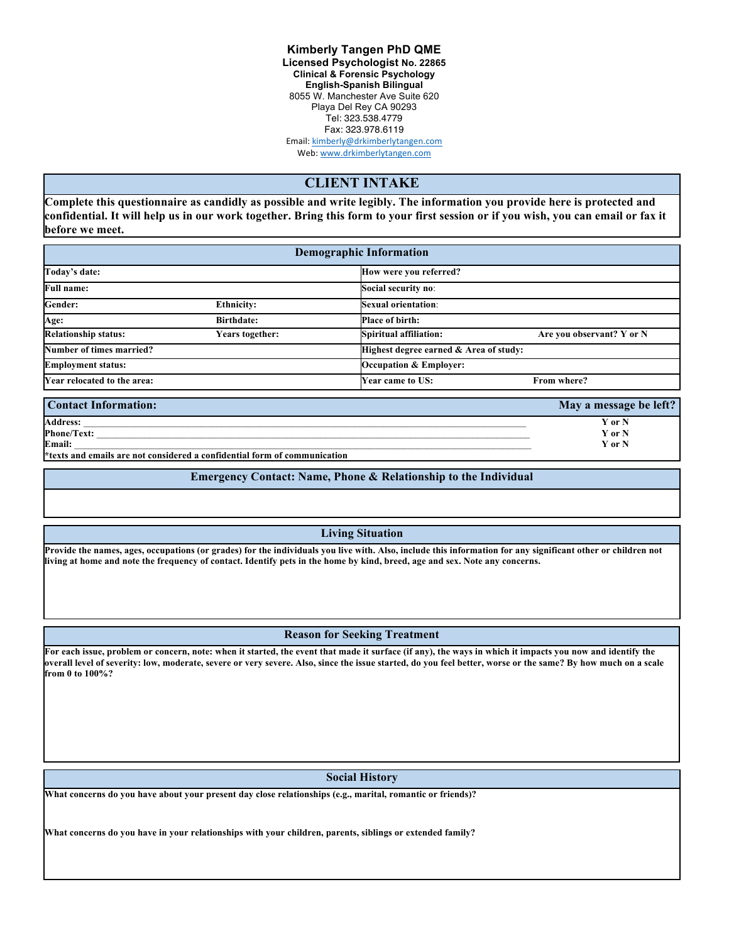**Kimberly Tangen PhD QME Licensed Psychologist No. 22865 Clinical & Forensic Psychology English-Spanish Bilingual** 8055 W. Manchester Ave Suite 620 Playa Del Rey CA 90293 Tel: 323.538.4779 Fax: 323.978.6119 Email: kimberly@drkimberlytangen.com

Web: www.drkimberlytangen.com

## **CLIENT INTAKE**

**Complete this questionnaire as candidly as possible and write legibly. The information you provide here is protected and confidential. It will help us in our work together. Bring this form to your first session or if you wish, you can email or fax it before we meet.** 

| <b>Demographic Information</b> |                   |                                        |                           |  |  |  |
|--------------------------------|-------------------|----------------------------------------|---------------------------|--|--|--|
| Today's date:                  |                   | How were you referred?                 |                           |  |  |  |
| <b>Full name:</b>              |                   | Social security no:                    |                           |  |  |  |
| Gender:                        | <b>Ethnicity:</b> | Sexual orientation:                    |                           |  |  |  |
| Age:                           | <b>Birthdate:</b> | <b>Place of birth:</b>                 |                           |  |  |  |
| <b>Relationship status:</b>    | Years together:   | Spiritual affiliation:                 | Are you observant? Y or N |  |  |  |
| Number of times married?       |                   | Highest degree earned & Area of study: |                           |  |  |  |
| <b>Employment status:</b>      |                   | <b>Occupation &amp; Employer:</b>      |                           |  |  |  |
| Year relocated to the area:    |                   | <b>Year came to US:</b>                | From where?               |  |  |  |
| <b>Contact Information:</b>    |                   |                                        | May a message be left?    |  |  |  |

|                                                                           | 1.24   |
|---------------------------------------------------------------------------|--------|
| <b>Address:</b>                                                           | Y or N |
| <b>Phone/Text:</b>                                                        | Y or N |
| Email:                                                                    | Y or N |
| *texts and emails are not considered a confidential form of communication |        |

**Emergency Contact: Name, Phone & Relationship to the Individual**

**Living Situation**

**Provide the names, ages, occupations (or grades) for the individuals you live with. Also, include this information for any significant other or children not living at home and note the frequency of contact. Identify pets in the home by kind, breed, age and sex. Note any concerns.**

## **Reason for Seeking Treatment**

**For each issue, problem or concern, note: when it started, the event that made it surface (if any), the ways in which it impacts you now and identify the overall level of severity: low, moderate, severe or very severe. Also, since the issue started, do you feel better, worse or the same? By how much on a scale from 0 to 100%?**

## **Social History**

**What concerns do you have about your present day close relationships (e.g., marital, romantic or friends)?**

**What concerns do you have in your relationships with your children, parents, siblings or extended family?**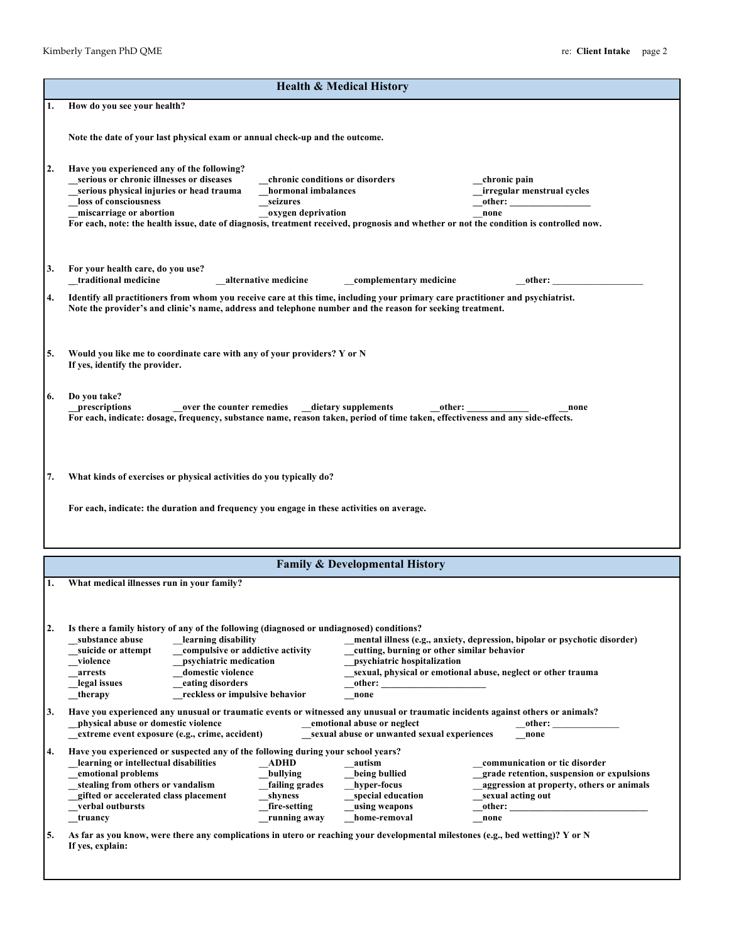| <b>Health &amp; Medical History</b> |                                                                                                                                                                                                                                                                                                                                  |                                                                                          |                                                                           |                                                                            |
|-------------------------------------|----------------------------------------------------------------------------------------------------------------------------------------------------------------------------------------------------------------------------------------------------------------------------------------------------------------------------------|------------------------------------------------------------------------------------------|---------------------------------------------------------------------------|----------------------------------------------------------------------------|
| 1.                                  | How do you see your health?                                                                                                                                                                                                                                                                                                      |                                                                                          |                                                                           |                                                                            |
|                                     | Note the date of your last physical exam or annual check-up and the outcome.                                                                                                                                                                                                                                                     |                                                                                          |                                                                           |                                                                            |
| 2.                                  | Have you experienced any of the following?<br>serious or chronic illnesses or diseases<br>serious physical injuries or head trauma<br>loss of consciousness<br>miscarriage or abortion<br>For each, note: the health issue, date of diagnosis, treatment received, prognosis and whether or not the condition is controlled now. | chronic conditions or disorders<br>hormonal imbalances<br>seizures<br>oxygen deprivation |                                                                           | chronic pain<br>irregular menstrual cycles<br>other:<br>none               |
|                                     | For your health care, do you use?<br>_traditional medicine                                                                                                                                                                                                                                                                       | alternative medicine                                                                     | complementary medicine                                                    | other:                                                                     |
| 4.                                  | Identify all practitioners from whom you receive care at this time, including your primary care practitioner and psychiatrist.<br>Note the provider's and clinic's name, address and telephone number and the reason for seeking treatment.                                                                                      |                                                                                          |                                                                           |                                                                            |
|                                     |                                                                                                                                                                                                                                                                                                                                  |                                                                                          |                                                                           |                                                                            |
| 5.                                  | Would you like me to coordinate care with any of your providers? Y or N<br>If yes, identify the provider.                                                                                                                                                                                                                        |                                                                                          |                                                                           |                                                                            |
| 6.                                  | Do you take?<br>prescriptions                                                                                                                                                                                                                                                                                                    | over the counter remedies dietary supplements                                            |                                                                           | other:<br>none                                                             |
|                                     | For each, indicate: dosage, frequency, substance name, reason taken, period of time taken, effectiveness and any side-effects.                                                                                                                                                                                                   |                                                                                          |                                                                           |                                                                            |
|                                     |                                                                                                                                                                                                                                                                                                                                  |                                                                                          |                                                                           |                                                                            |
|                                     | What kinds of exercises or physical activities do you typically do?<br>For each, indicate: the duration and frequency you engage in these activities on average.                                                                                                                                                                 |                                                                                          |                                                                           |                                                                            |
|                                     |                                                                                                                                                                                                                                                                                                                                  |                                                                                          | <b>Family &amp; Developmental History</b>                                 |                                                                            |
| 7.                                  | What medical illnesses run in your family?                                                                                                                                                                                                                                                                                       |                                                                                          |                                                                           |                                                                            |
|                                     | Is there a family history of any of the following (diagnosed or undiagnosed) conditions?<br>substance abuse<br>learning disability                                                                                                                                                                                               |                                                                                          |                                                                           |                                                                            |
|                                     | suicide or attempt<br>compulsive or addictive activity                                                                                                                                                                                                                                                                           |                                                                                          | cutting, burning or other similar behavior                                | mental illness (e.g., anxiety, depression, bipolar or psychotic disorder)  |
|                                     | psychiatric medication<br>violence<br>domestic violence<br>arrests                                                                                                                                                                                                                                                               |                                                                                          | psychiatric hospitalization                                               | sexual, physical or emotional abuse, neglect or other trauma               |
|                                     | eating disorders<br>legal issues<br>reckless or impulsive behavior<br>therapy                                                                                                                                                                                                                                                    |                                                                                          | other:<br>none                                                            |                                                                            |
| 3.                                  | Have you experienced any unusual or traumatic events or witnessed any unusual or traumatic incidents against others or animals?<br>physical abuse or domestic violence<br>extreme event exposure (e.g., crime, accident)                                                                                                         |                                                                                          | emotional abuse or neglect<br>sexual abuse or unwanted sexual experiences | other:<br>none                                                             |
|                                     | Have you experienced or suspected any of the following during your school years?                                                                                                                                                                                                                                                 |                                                                                          |                                                                           |                                                                            |
|                                     | learning or intellectual disabilities<br>emotional problems                                                                                                                                                                                                                                                                      | $\_$ ADHD<br>bullying                                                                    | autism<br>being bullied                                                   | communication or tic disorder<br>grade retention, suspension or expulsions |
|                                     | stealing from others or vandalism                                                                                                                                                                                                                                                                                                | failing grades                                                                           | hyper-focus                                                               | _aggression at property, others or animals                                 |
|                                     | gifted or accelerated class placement<br>verbal outbursts                                                                                                                                                                                                                                                                        | shyness                                                                                  | special education                                                         | sexual acting out                                                          |
|                                     | truancy                                                                                                                                                                                                                                                                                                                          | fire-setting<br>running away                                                             | using weapons<br>home-removal                                             | other:<br>none                                                             |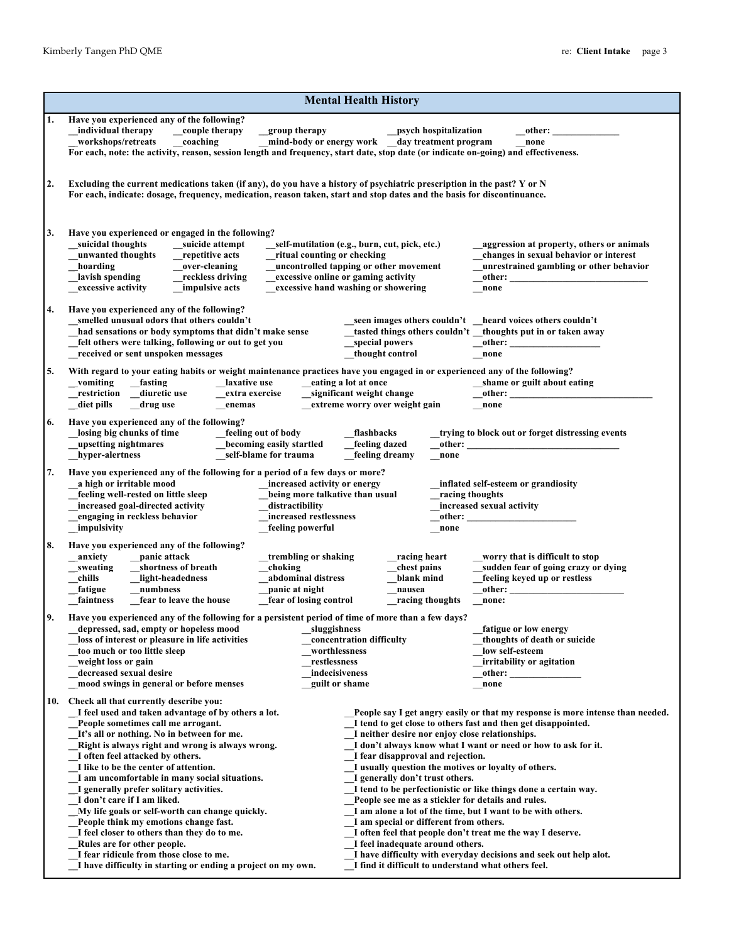|    | <b>Mental Health History</b>                                                                                                                                                                                                                                                                                                                                                                                                                                                                                                                                                                                                                                                                                                           |                                                                                                                                                                                                                                                                                                                                                                                                                                                                                                                                                                          |                                                                                                                                                                                                                                                                                         |  |  |  |
|----|----------------------------------------------------------------------------------------------------------------------------------------------------------------------------------------------------------------------------------------------------------------------------------------------------------------------------------------------------------------------------------------------------------------------------------------------------------------------------------------------------------------------------------------------------------------------------------------------------------------------------------------------------------------------------------------------------------------------------------------|--------------------------------------------------------------------------------------------------------------------------------------------------------------------------------------------------------------------------------------------------------------------------------------------------------------------------------------------------------------------------------------------------------------------------------------------------------------------------------------------------------------------------------------------------------------------------|-----------------------------------------------------------------------------------------------------------------------------------------------------------------------------------------------------------------------------------------------------------------------------------------|--|--|--|
| 1. | Have you experienced any of the following?<br>individual therapy<br>couple therapy<br>group therapy<br>coaching<br>workshops/retreats<br>For each, note: the activity, reason, session length and frequency, start date, stop date (or indicate on-going) and effectiveness.                                                                                                                                                                                                                                                                                                                                                                                                                                                           | _psych hospitalization<br>mind-body or energy work day treatment program                                                                                                                                                                                                                                                                                                                                                                                                                                                                                                 | other:<br>none                                                                                                                                                                                                                                                                          |  |  |  |
| 2. | Excluding the current medications taken (if any), do you have a history of psychiatric prescription in the past? Y or N<br>For each, indicate: dosage, frequency, medication, reason taken, start and stop dates and the basis for discontinuance.                                                                                                                                                                                                                                                                                                                                                                                                                                                                                     |                                                                                                                                                                                                                                                                                                                                                                                                                                                                                                                                                                          |                                                                                                                                                                                                                                                                                         |  |  |  |
| 3. | Have you experienced or engaged in the following?<br>suicidal thoughts<br>suicide attempt<br>unwanted thoughts<br>repetitive acts<br>ritual counting or checking<br>hoarding<br>over-cleaning<br>lavish spending<br>reckless driving<br>excessive activity<br>impulsive acts                                                                                                                                                                                                                                                                                                                                                                                                                                                           | self-mutilation (e.g., burn, cut, pick, etc.)<br>uncontrolled tapping or other movement<br>excessive online or gaming activity<br>excessive hand washing or showering                                                                                                                                                                                                                                                                                                                                                                                                    | aggression at property, others or animals<br>changes in sexual behavior or interest<br>unrestrained gambling or other behavior<br>other:<br>none                                                                                                                                        |  |  |  |
| 4. | Have you experienced any of the following?<br>smelled unusual odors that others couldn't<br>had sensations or body symptoms that didn't make sense<br>felt others were talking, following or out to get you<br>received or sent unspoken messages                                                                                                                                                                                                                                                                                                                                                                                                                                                                                      | special powers<br>thought control                                                                                                                                                                                                                                                                                                                                                                                                                                                                                                                                        | _seen images others couldn't _heard voices others couldn't<br>tasted things others couldn't _thoughts put in or taken away<br>other:<br>none                                                                                                                                            |  |  |  |
| 5. | With regard to your eating habits or weight maintenance practices have you engaged in or experienced any of the following?<br>_fasting<br>laxative use<br>vomiting<br>eating a lot at once<br>shame or guilt about eating<br>_restriction<br>diuretic use<br>significant weight change<br>extra exercise<br>other:<br>diet pills<br>extreme worry over weight gain<br>drug use<br>enemas<br>none                                                                                                                                                                                                                                                                                                                                       |                                                                                                                                                                                                                                                                                                                                                                                                                                                                                                                                                                          |                                                                                                                                                                                                                                                                                         |  |  |  |
| 6. | Have you experienced any of the following?<br>losing big chunks of time<br>feeling out of body<br>becoming easily startled<br>upsetting nightmares<br>hyper-alertness<br>self-blame for trauma                                                                                                                                                                                                                                                                                                                                                                                                                                                                                                                                         | flashbacks<br>feeling dazed<br>other:<br>feeling dreamy<br>none                                                                                                                                                                                                                                                                                                                                                                                                                                                                                                          | trying to block out or forget distressing events                                                                                                                                                                                                                                        |  |  |  |
| 7. | Have you experienced any of the following for a period of a few days or more?<br>a high or irritable mood<br>increased activity or energy<br>feeling well-rested on little sleep<br>being more talkative than usual<br>increased goal-directed activity<br>distractibility<br>engaging in reckless behavior<br>increased restlessness<br>impulsivity<br>feeling powerful                                                                                                                                                                                                                                                                                                                                                               | racing thoughts<br>other:<br>none                                                                                                                                                                                                                                                                                                                                                                                                                                                                                                                                        | inflated self-esteem or grandiosity<br>increased sexual activity                                                                                                                                                                                                                        |  |  |  |
| 8. | Have you experienced any of the following?<br>panic attack<br>anxiety<br>trembling or shaking<br>choking<br>sweating<br>shortness of breath<br>abdominal distress<br>chills<br>light-headedness<br>fatigue<br>panic at night<br>numbness<br>faintness<br>fear to leave the house<br>fear of losing control                                                                                                                                                                                                                                                                                                                                                                                                                             | racing heart<br>chest pains<br>blank mind<br>nausea<br>racing thoughts                                                                                                                                                                                                                                                                                                                                                                                                                                                                                                   | worry that is difficult to stop<br>sudden fear of going crazy or dying<br>feeling keyed up or restless<br>other:<br>none:                                                                                                                                                               |  |  |  |
| 9. | Have you experienced any of the following for a persistent period of time of more than a few days?<br>depressed, sad, empty or hopeless mood<br>sluggishness<br>loss of interest or pleasure in life activities<br>too much or too little sleep<br>worthlessness<br>weight loss or gain<br>restlessness<br>decreased sexual desire<br>indecisiveness<br>mood swings in general or before menses                                                                                                                                                                                                                                                                                                                                        | concentration difficulty<br>guilt or shame                                                                                                                                                                                                                                                                                                                                                                                                                                                                                                                               | fatigue or low energy<br>thoughts of death or suicide<br>low self-esteem<br>irritability or agitation<br>other:<br>none                                                                                                                                                                 |  |  |  |
|    | 10. Check all that currently describe you:<br>I feel used and taken advantage of by others a lot.<br>People sometimes call me arrogant.<br>It's all or nothing. No in between for me.<br>Right is always right and wrong is always wrong.<br>I often feel attacked by others.<br>I like to be the center of attention.<br>I am uncomfortable in many social situations.<br>I generally prefer solitary activities.<br>I don't care if I am liked.<br>My life goals or self-worth can change quickly.<br>People think my emotions change fast.<br>I feel closer to others than they do to me.<br>Rules are for other people.<br>I fear ridicule from those close to me.<br>I have difficulty in starting or ending a project on my own. | I tend to get close to others fast and then get disappointed.<br>I neither desire nor enjoy close relationships.<br>I fear disapproval and rejection.<br>I usually question the motives or loyalty of others.<br>I generally don't trust others.<br>People see me as a stickler for details and rules.<br>I am alone a lot of the time, but I want to be with others.<br>I am special or different from others.<br>I often feel that people don't treat me the way I deserve.<br>I feel inadequate around others.<br>I find it difficult to understand what others feel. | People say I get angry easily or that my response is more intense than needed.<br>I don't always know what I want or need or how to ask for it.<br>I tend to be perfectionistic or like things done a certain way.<br>I have difficulty with everyday decisions and seek out help alot. |  |  |  |